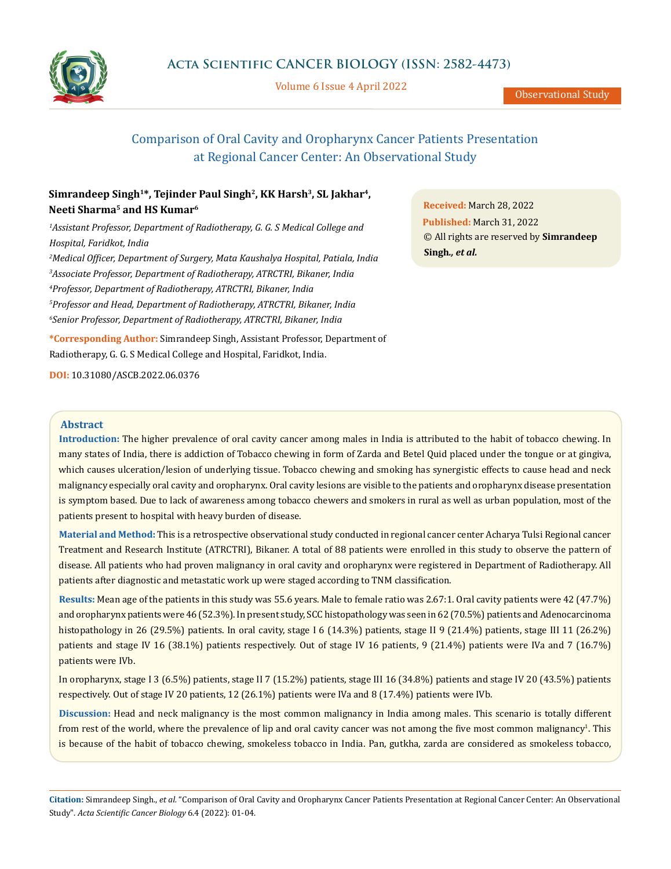

Volume 6 Issue 4 April 2022

Observational Study

# Comparison of Oral Cavity and Oropharynx Cancer Patients Presentation at Regional Cancer Center: An Observational Study

## Simrandeep Singh<sup>1\*</sup>, Tejinder Paul Singh<sup>2</sup>, KK Harsh<sup>3</sup>, SL Jakhar<sup>4</sup>, **Neeti Sharma5 and HS Kumar6**

<sup>1</sup> Assistant Professor, Department of Radiotherapy, G. G. S Medical College and *Hospital, Faridkot, India Medical Officer, Department of Surgery, Mata Kaushalya Hospital, Patiala, India Associate Professor, Department of Radiotherapy, ATRCTRI, Bikaner, India Professor, Department of Radiotherapy, ATRCTRI, Bikaner, India Professor and Head, Department of Radiotherapy, ATRCTRI, Bikaner, India Senior Professor, Department of Radiotherapy, ATRCTRI, Bikaner, India*

**\*Corresponding Author:** Simrandeep Singh, Assistant Professor, Department of Radiotherapy, G. G. S Medical College and Hospital, Faridkot, India.

**DOI:** [10.31080/ASCB.2022.06.0376](http:// actascientific.com/ASCB/pdf/ASCB-06-0376.pdf)

**Received:** March 28, 2022 **Published:** March 31, 2022 © All rights are reserved by **Simrandeep Singh***., et al.*

## **Abstract**

**Introduction:** The higher prevalence of oral cavity cancer among males in India is attributed to the habit of tobacco chewing. In many states of India, there is addiction of Tobacco chewing in form of Zarda and Betel Quid placed under the tongue or at gingiva, which causes ulceration/lesion of underlying tissue. Tobacco chewing and smoking has synergistic effects to cause head and neck malignancy especially oral cavity and oropharynx. Oral cavity lesions are visible to the patients and oropharynx disease presentation is symptom based. Due to lack of awareness among tobacco chewers and smokers in rural as well as urban population, most of the patients present to hospital with heavy burden of disease.

**Material and Method:** This is a retrospective observational study conducted in regional cancer center Acharya Tulsi Regional cancer Treatment and Research Institute (ATRCTRI), Bikaner. A total of 88 patients were enrolled in this study to observe the pattern of disease. All patients who had proven malignancy in oral cavity and oropharynx were registered in Department of Radiotherapy. All patients after diagnostic and metastatic work up were staged according to TNM classification.

**Results:** Mean age of the patients in this study was 55.6 years. Male to female ratio was 2.67:1. Oral cavity patients were 42 (47.7%) and oropharynx patients were 46 (52.3%). In present study, SCC histopathology was seen in 62 (70.5%) patients and Adenocarcinoma histopathology in 26 (29.5%) patients. In oral cavity, stage I 6 (14.3%) patients, stage II 9 (21.4%) patients, stage III 11 (26.2%) patients and stage IV 16 (38.1%) patients respectively. Out of stage IV 16 patients, 9 (21.4%) patients were IVa and 7 (16.7%) patients were IVb.

In oropharynx, stage I 3 (6.5%) patients, stage II 7 (15.2%) patients, stage III 16 (34.8%) patients and stage IV 20 (43.5%) patients respectively. Out of stage IV 20 patients, 12 (26.1%) patients were IVa and 8 (17.4%) patients were IVb.

**Discussion:** Head and neck malignancy is the most common malignancy in India among males. This scenario is totally different from rest of the world, where the prevalence of lip and oral cavity cancer was not among the five most common malignancy<sup>1</sup>. This is because of the habit of tobacco chewing, smokeless tobacco in India. Pan, gutkha, zarda are considered as smokeless tobacco,

**Citation:** Simrandeep Singh., *et al.* "Comparison of Oral Cavity and Oropharynx Cancer Patients Presentation at Regional Cancer Center: An Observational Study". *Acta Scientific Cancer Biology* 6.4 (2022): 01-04.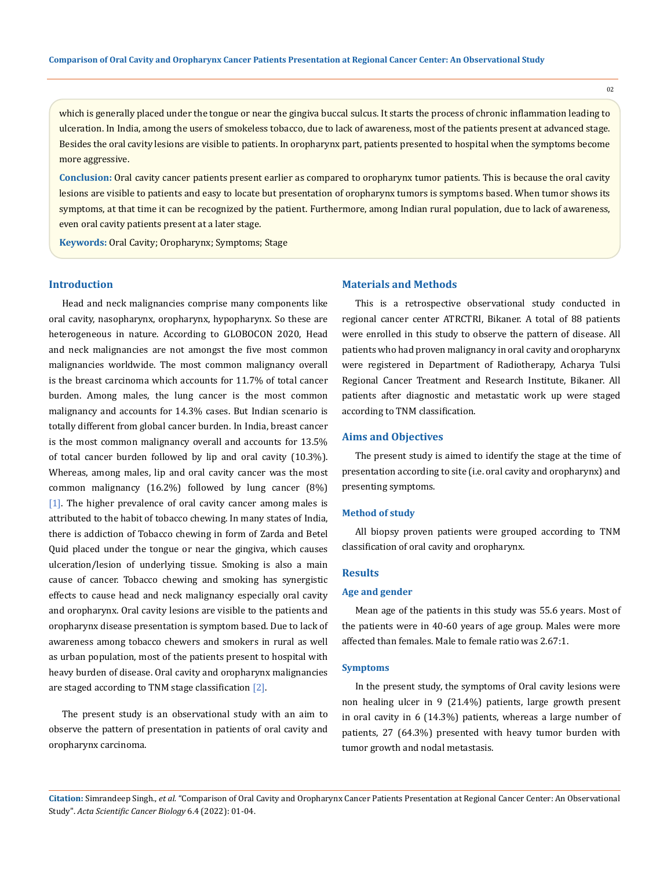which is generally placed under the tongue or near the gingiva buccal sulcus. It starts the process of chronic inflammation leading to ulceration. In India, among the users of smokeless tobacco, due to lack of awareness, most of the patients present at advanced stage. Besides the oral cavity lesions are visible to patients. In oropharynx part, patients presented to hospital when the symptoms become more aggressive.

**Conclusion:** Oral cavity cancer patients present earlier as compared to oropharynx tumor patients. This is because the oral cavity lesions are visible to patients and easy to locate but presentation of oropharynx tumors is symptoms based. When tumor shows its symptoms, at that time it can be recognized by the patient. Furthermore, among Indian rural population, due to lack of awareness, even oral cavity patients present at a later stage.

**Keywords:** Oral Cavity; Oropharynx; Symptoms; Stage

## **Introduction**

Head and neck malignancies comprise many components like oral cavity, nasopharynx, oropharynx, hypopharynx. So these are heterogeneous in nature. According to GLOBOCON 2020, Head and neck malignancies are not amongst the five most common malignancies worldwide. The most common malignancy overall is the breast carcinoma which accounts for 11.7% of total cancer burden. Among males, the lung cancer is the most common malignancy and accounts for 14.3% cases. But Indian scenario is totally different from global cancer burden. In India, breast cancer is the most common malignancy overall and accounts for 13.5% of total cancer burden followed by lip and oral cavity (10.3%). Whereas, among males, lip and oral cavity cancer was the most common malignancy (16.2%) followed by lung cancer (8%) [1]. The higher prevalence of oral cavity cancer among males is attributed to the habit of tobacco chewing. In many states of India, there is addiction of Tobacco chewing in form of Zarda and Betel Quid placed under the tongue or near the gingiva, which causes ulceration/lesion of underlying tissue. Smoking is also a main cause of cancer. Tobacco chewing and smoking has synergistic effects to cause head and neck malignancy especially oral cavity and oropharynx. Oral cavity lesions are visible to the patients and oropharynx disease presentation is symptom based. Due to lack of awareness among tobacco chewers and smokers in rural as well as urban population, most of the patients present to hospital with heavy burden of disease. Oral cavity and oropharynx malignancies are staged according to TNM stage classification [2].

The present study is an observational study with an aim to observe the pattern of presentation in patients of oral cavity and oropharynx carcinoma.

## **Materials and Methods**

This is a retrospective observational study conducted in regional cancer center ATRCTRI, Bikaner. A total of 88 patients were enrolled in this study to observe the pattern of disease. All patients who had proven malignancy in oral cavity and oropharynx were registered in Department of Radiotherapy, Acharya Tulsi Regional Cancer Treatment and Research Institute, Bikaner. All patients after diagnostic and metastatic work up were staged according to TNM classification.

#### **Aims and Objectives**

The present study is aimed to identify the stage at the time of presentation according to site (i.e. oral cavity and oropharynx) and presenting symptoms.

#### **Method of study**

All biopsy proven patients were grouped according to TNM classification of oral cavity and oropharynx.

#### **Results**

## **Age and gender**

Mean age of the patients in this study was 55.6 years. Most of the patients were in 40-60 years of age group. Males were more affected than females. Male to female ratio was 2.67:1.

#### **Symptoms**

In the present study, the symptoms of Oral cavity lesions were non healing ulcer in 9 (21.4%) patients, large growth present in oral cavity in 6 (14.3%) patients, whereas a large number of patients, 27 (64.3%) presented with heavy tumor burden with tumor growth and nodal metastasis.

**Citation:** Simrandeep Singh., *et al.* "Comparison of Oral Cavity and Oropharynx Cancer Patients Presentation at Regional Cancer Center: An Observational Study". *Acta Scientific Cancer Biology* 6.4 (2022): 01-04.

02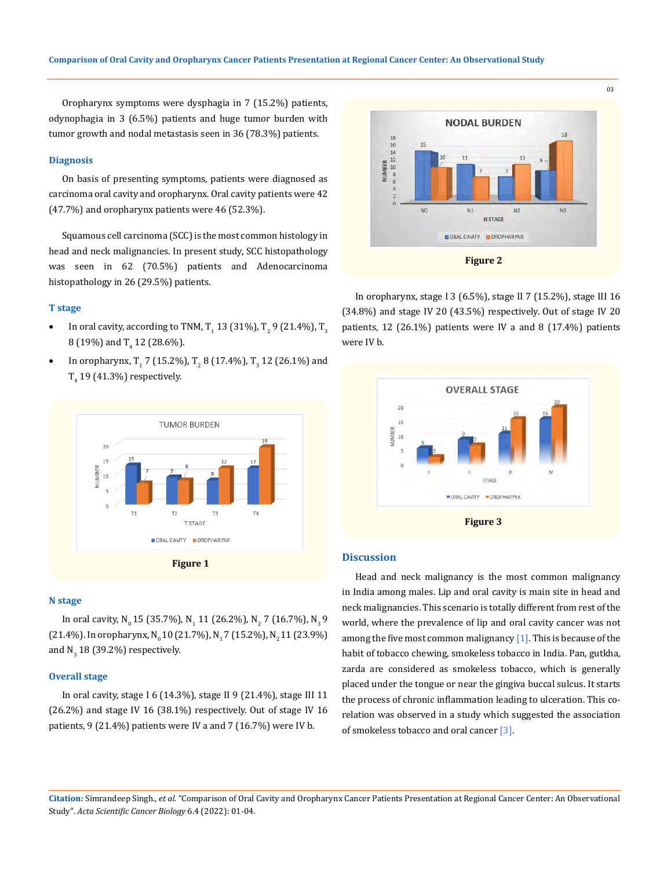Oropharynx symptoms were dysphagia in 7 (15.2%) patients, odynophagia in 3 (6.5%) patients and huge tumor burden with tumor growth and nodal metastasis seen in 36 (78.3%) patients.

#### **Diagnosis**

On basis of presenting symptoms, patients were diagnosed as carcinoma oral cavity and oropharynx. Oral cavity patients were 42 (47.7%) and oropharynx patients were 46 (52.3%).

Squamous cell carcinoma (SCC) is the most common histology in head and neck malignancies. In present study, SCC histopathology was seen in 62 (70.5%) patients and Adenocarcinoma histopathology in 26 (29.5%) patients.

#### **T stage**

- In oral cavity, according to TNM,  $T_1$  13 (31%),  $T_2$  9 (21.4%),  $T_3$ 8 (19%) and  $T_4$  12 (28.6%).
- In oropharynx, T<sub>1</sub> 7 (15.2%), T<sub>2</sub> 8 (17.4%), T<sub>3</sub> 12 (26.1%) and  $T_4$  19 (41.3%) respectively.



#### **N stage**

In oral cavity, N<sub>0</sub> 15 (35.7%), N<sub>1</sub> 11 (26.2%), N<sub>2</sub> 7 (16.7%), N<sub>3</sub> 9 (21.4%). In oropharynx, N<sub>0</sub> 10 (21.7%), N<sub>1</sub>7 (15.2%), N<sub>2</sub> 11 (23.9%) and  $N_{3}$  18 (39.2%) respectively.

#### **Overall stage**

In oral cavity, stage I 6 (14.3%), stage II 9 (21.4%), stage III 11 (26.2%) and stage IV 16 (38.1%) respectively. Out of stage IV 16 patients, 9 (21.4%) patients were IV a and 7 (16.7%) were IV b.



In oropharynx, stage I 3 (6.5%), stage II 7 (15.2%), stage III 16 (34.8%) and stage IV 20 (43.5%) respectively. Out of stage IV 20 patients, 12 (26.1%) patients were IV a and 8 (17.4%) patients were IV b.



#### **Discussion**

Head and neck malignancy is the most common malignancy in India among males. Lip and oral cavity is main site in head and neck malignancies. This scenario is totally different from rest of the world, where the prevalence of lip and oral cavity cancer was not among the five most common malignancy  $[1]$ . This is because of the habit of tobacco chewing, smokeless tobacco in India. Pan, gutkha, zarda are considered as smokeless tobacco, which is generally placed under the tongue or near the gingiva buccal sulcus. It starts the process of chronic inflammation leading to ulceration. This corelation was observed in a study which suggested the association of smokeless tobacco and oral cancer [3].

**Citation:** Simrandeep Singh., *et al.* "Comparison of Oral Cavity and Oropharynx Cancer Patients Presentation at Regional Cancer Center: An Observational Study". *Acta Scientific Cancer Biology* 6.4 (2022): 01-04.